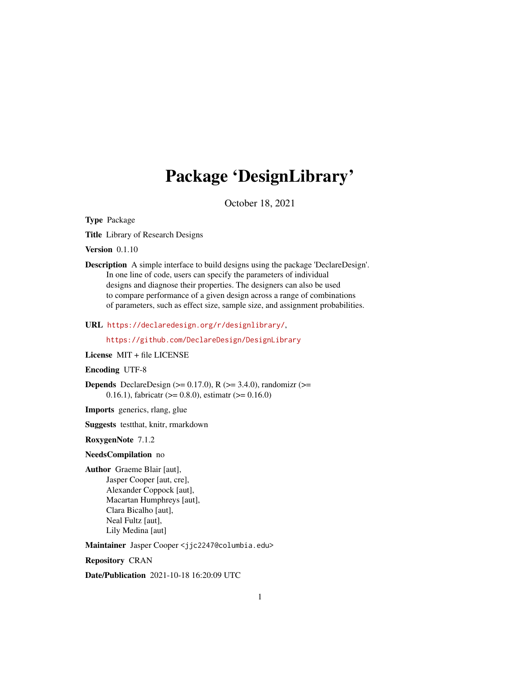# Package 'DesignLibrary'

October 18, 2021

<span id="page-0-0"></span>Type Package

Title Library of Research Designs

Version 0.1.10

Description A simple interface to build designs using the package 'DeclareDesign'. In one line of code, users can specify the parameters of individual designs and diagnose their properties. The designers can also be used to compare performance of a given design across a range of combinations of parameters, such as effect size, sample size, and assignment probabilities.

URL <https://declaredesign.org/r/designlibrary/>,

<https://github.com/DeclareDesign/DesignLibrary>

License MIT + file LICENSE

## Encoding UTF-8

**Depends** DeclareDesign  $(>= 0.17.0)$ , R  $(>= 3.4.0)$ , randomizr  $(>=$ 0.16.1), fabricatr ( $> = 0.8.0$ ), estimatr ( $> = 0.16.0$ )

Imports generics, rlang, glue

Suggests testthat, knitr, rmarkdown

RoxygenNote 7.1.2

#### NeedsCompilation no

Author Graeme Blair [aut], Jasper Cooper [aut, cre], Alexander Coppock [aut], Macartan Humphreys [aut], Clara Bicalho [aut], Neal Fultz [aut], Lily Medina [aut]

Maintainer Jasper Cooper <jjc2247@columbia.edu>

Repository CRAN

Date/Publication 2021-10-18 16:20:09 UTC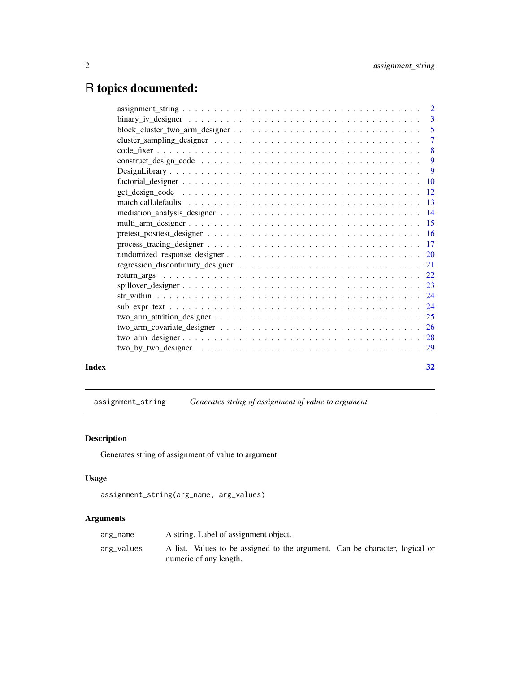# <span id="page-1-0"></span>R topics documented:

| Index | 32 |
|-------|----|

assignment\_string *Generates string of assignment of value to argument*

# Description

Generates string of assignment of value to argument

# Usage

```
assignment_string(arg_name, arg_values)
```

| arg_name   | A string. Label of assignment object.                                                                 |
|------------|-------------------------------------------------------------------------------------------------------|
| arg_values | A list. Values to be assigned to the argument. Can be character, logical or<br>numeric of any length. |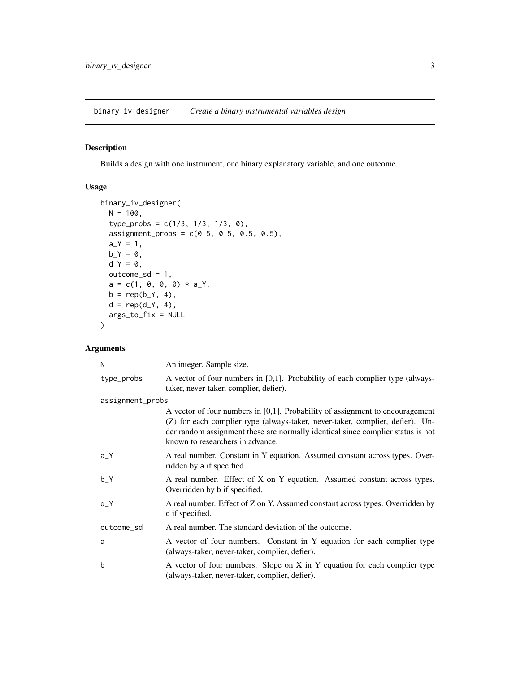<span id="page-2-0"></span>binary\_iv\_designer *Create a binary instrumental variables design*

# Description

Builds a design with one instrument, one binary explanatory variable, and one outcome.

# Usage

```
binary_iv_designer(
 N = 100,
  type_probs = c(1/3, 1/3, 1/3, 0),
 assignment_{probs} = c(0.5, 0.5, 0.5, 0.5),
 a_Y = 1,
 b_Y = 0,
 d_Y = 0,
 outcome_s d = 1,a = c(1, 0, 0, 0) * a_Y,b = rep(b_{Y, 4}),d = rep(d_Y, 4),args_to_fix = NULL
)
```

| N                | An integer. Sample size.                                                                                                                                                                                                                                                              |
|------------------|---------------------------------------------------------------------------------------------------------------------------------------------------------------------------------------------------------------------------------------------------------------------------------------|
| type_probs       | A vector of four numbers in $[0,1]$ . Probability of each complier type (always-<br>taker, never-taker, complier, defier).                                                                                                                                                            |
| assignment_probs |                                                                                                                                                                                                                                                                                       |
|                  | A vector of four numbers in [0,1]. Probability of assignment to encouragement<br>(Z) for each complier type (always-taker, never-taker, complier, defier). Un-<br>der random assignment these are normally identical since complier status is not<br>known to researchers in advance. |
| $a_Y$            | A real number. Constant in Y equation. Assumed constant across types. Over-<br>ridden by a if specified.                                                                                                                                                                              |
| $b_Y$            | A real number. Effect of X on Y equation. Assumed constant across types.<br>Overridden by b if specified.                                                                                                                                                                             |
| $d_Y$            | A real number. Effect of Z on Y. Assumed constant across types. Overridden by<br>d if specified.                                                                                                                                                                                      |
| outcome_sd       | A real number. The standard deviation of the outcome.                                                                                                                                                                                                                                 |
| a                | A vector of four numbers. Constant in Y equation for each complier type<br>(always-taker, never-taker, complier, defier).                                                                                                                                                             |
| b                | A vector of four numbers. Slope on X in Y equation for each complier type<br>(always-taker, never-taker, complier, defier).                                                                                                                                                           |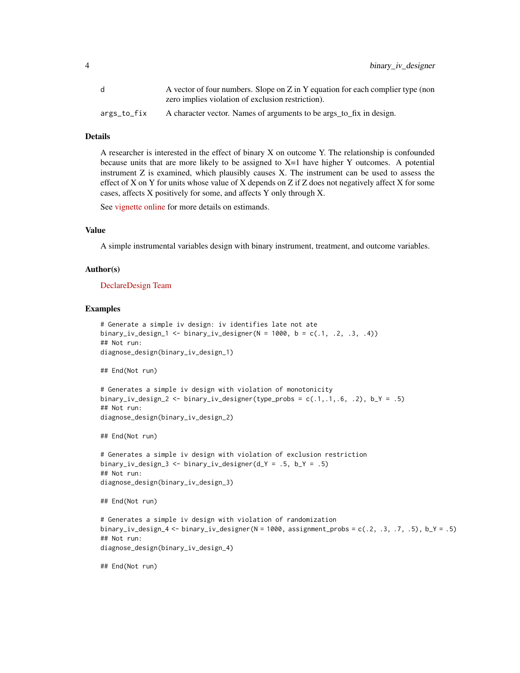|             | A vector of four numbers. Slope on Z in Y equation for each complier type (non |
|-------------|--------------------------------------------------------------------------------|
|             | zero implies violation of exclusion restriction).                              |
| args_to_fix | A character vector. Names of arguments to be args_to_fix in design.            |

A researcher is interested in the effect of binary X on outcome Y. The relationship is confounded because units that are more likely to be assigned to  $X=1$  have higher Y outcomes. A potential instrument Z is examined, which plausibly causes X. The instrument can be used to assess the effect of X on Y for units whose value of X depends on Z if Z does not negatively affect X for some cases, affects X positively for some, and affects Y only through X.

See [vignette online](https://declaredesign.org/r/designlibrary/articles/binary_iv.html) for more details on estimands.

#### Value

A simple instrumental variables design with binary instrument, treatment, and outcome variables.

#### Author(s)

[DeclareDesign Team](https://declaredesign.org/)

#### Examples

```
# Generate a simple iv design: iv identifies late not ate
binary_iv_design_1 <- binary_iv_designer(N = 1000, b = c(.1, .2, .3, .4))
## Not run:
diagnose_design(binary_iv_design_1)
## End(Not run)
# Generates a simple iv design with violation of monotonicity
binary_iv_design_2 <- binary_iv_designer(type_probs = c(.1, .1, .6, .2), b_Y = .5)
## Not run:
diagnose_design(binary_iv_design_2)
## End(Not run)
# Generates a simple iv design with violation of exclusion restriction
binary_iv_design_3 <- binary_iv_designer(d_Y = .5, b_Y = .5)
## Not run:
diagnose_design(binary_iv_design_3)
## End(Not run)
# Generates a simple iv design with violation of randomization
binary_iv_design_4 <- binary_iv_designer(N = 1000, assignment_probs = c(.2, .3, .7, .5), b_Y = .5)
## Not run:
diagnose_design(binary_iv_design_4)
## End(Not run)
```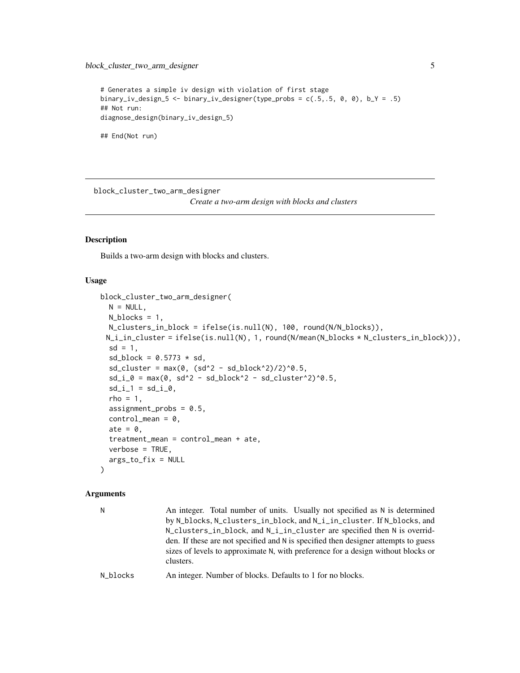```
# Generates a simple iv design with violation of first stage
binary_iv_design_5 <- binary_iv_designer(type_probs = c(.5, .5, 0, 0), b_Y = .5)
## Not run:
diagnose_design(binary_iv_design_5)
```
## End(Not run)

block\_cluster\_two\_arm\_designer

*Create a two-arm design with blocks and clusters*

# Description

Builds a two-arm design with blocks and clusters.

#### Usage

```
block_cluster_two_arm_designer(
 N = NULL,N_blocks = 1,
 N_clusters_in_block = ifelse(is.null(N), 100, round(N/N_blocks)),
 N_i_in_cluster = ifelse(is.null(N), 1, round(N/mean(N_blocks * N_clusters_in_block))),
  sd = 1,
  sd\_block = 0.5773 * sd,sd\_cluster = max(0, (sd^2 - sd\_block^2)/2)^0.5,sd_i_0 = \max(0, sd^2 - sd_block^2 - sd_cluster^2)^0.5,sd_i_1 = sd_i_0,rho = 1,
  assignment_probs = 0.5,
  control_mean = 0,
  ate = \theta,
  treatment_mean = control_mean + ate,
  verbose = TRUE,
  args_to_fix = NULL
\lambda
```

| N.       | An integer. Total number of units. Usually not specified as N is determined<br>by N_blocks, N_clusters_in_block, and N_i_in_cluster. If N_blocks, and<br>N_clusters_in_block, and N_i_in_cluster are specified then N is overrid-<br>den. If these are not specified and N is specified then designer attempts to guess<br>sizes of levels to approximate N, with preference for a design without blocks or<br>clusters. |
|----------|--------------------------------------------------------------------------------------------------------------------------------------------------------------------------------------------------------------------------------------------------------------------------------------------------------------------------------------------------------------------------------------------------------------------------|
| N blocks | An integer. Number of blocks. Defaults to 1 for no blocks.                                                                                                                                                                                                                                                                                                                                                               |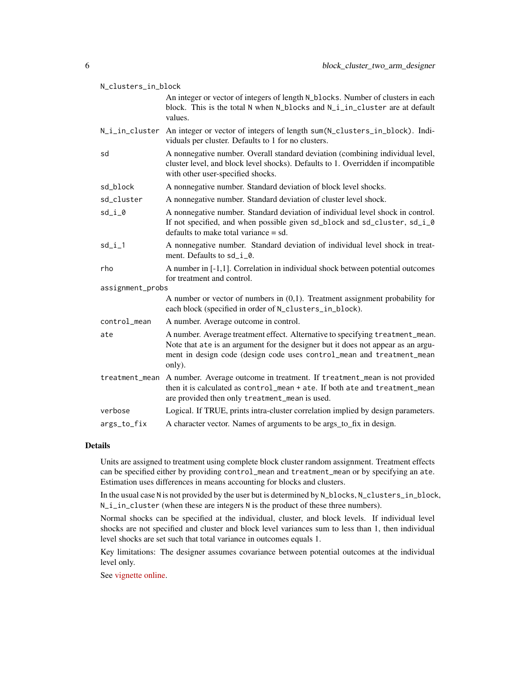| N_clusters_in_block |                                                                                                                                                                                                                                                      |  |
|---------------------|------------------------------------------------------------------------------------------------------------------------------------------------------------------------------------------------------------------------------------------------------|--|
|                     | An integer or vector of integers of length N_blocks. Number of clusters in each<br>block. This is the total N when N_blocks and N_i_in_cluster are at default<br>values.                                                                             |  |
| N_i_in_cluster      | An integer or vector of integers of length sum(N_clusters_in_block). Indi-<br>viduals per cluster. Defaults to 1 for no clusters.                                                                                                                    |  |
| sd                  | A nonnegative number. Overall standard deviation (combining individual level,<br>cluster level, and block level shocks). Defaults to 1. Overridden if incompatible<br>with other user-specified shocks.                                              |  |
| sd_block            | A nonnegative number. Standard deviation of block level shocks.                                                                                                                                                                                      |  |
| sd_cluster          | A nonnegative number. Standard deviation of cluster level shock.                                                                                                                                                                                     |  |
| sd_i_0              | A nonnegative number. Standard deviation of individual level shock in control.<br>If not specified, and when possible given sd_block and sd_cluster, sd_i_0<br>defaults to make total variance $=$ sd.                                               |  |
| $sd_i_1$            | A nonnegative number. Standard deviation of individual level shock in treat-<br>ment. Defaults to sd_i_0.                                                                                                                                            |  |
| rho                 | A number in [-1,1]. Correlation in individual shock between potential outcomes<br>for treatment and control.                                                                                                                                         |  |
| assignment_probs    |                                                                                                                                                                                                                                                      |  |
|                     | A number or vector of numbers in $(0,1)$ . Treatment assignment probability for<br>each block (specified in order of N_clusters_in_block).                                                                                                           |  |
| control_mean        | A number. Average outcome in control.                                                                                                                                                                                                                |  |
| ate                 | A number. Average treatment effect. Alternative to specifying treatment_mean.<br>Note that ate is an argument for the designer but it does not appear as an argu-<br>ment in design code (design code uses control_mean and treatment_mean<br>only). |  |
| treatment_mean      | A number. Average outcome in treatment. If treatment_mean is not provided<br>then it is calculated as control_mean + ate. If both ate and treatment_mean<br>are provided then only treatment_mean is used.                                           |  |
| verbose             | Logical. If TRUE, prints intra-cluster correlation implied by design parameters.                                                                                                                                                                     |  |
| args_to_fix         | A character vector. Names of arguments to be args_to_fix in design.                                                                                                                                                                                  |  |

Units are assigned to treatment using complete block cluster random assignment. Treatment effects can be specified either by providing control\_mean and treatment\_mean or by specifying an ate. Estimation uses differences in means accounting for blocks and clusters.

In the usual case N is not provided by the user but is determined by N\_blocks, N\_clusters\_in\_block, N<sub>lincluster</sub> (when these are integers N is the product of these three numbers).

Normal shocks can be specified at the individual, cluster, and block levels. If individual level shocks are not specified and cluster and block level variances sum to less than 1, then individual level shocks are set such that total variance in outcomes equals 1.

Key limitations: The designer assumes covariance between potential outcomes at the individual level only.

See [vignette online.](https://declaredesign.org/r/designlibrary/articles/block_cluster_two_arm.html)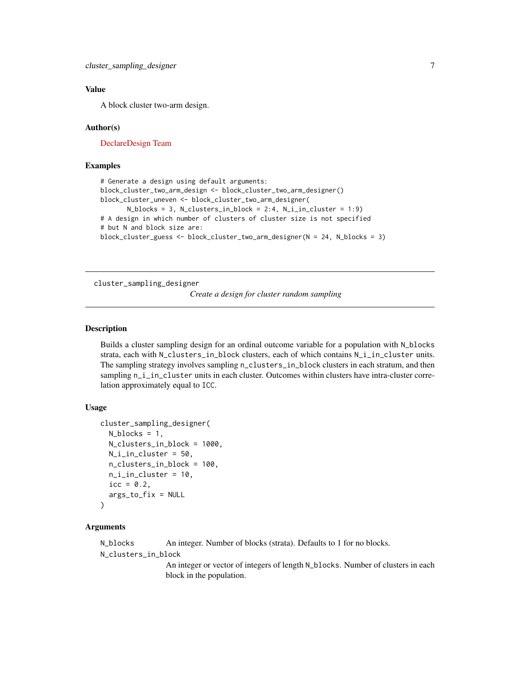# <span id="page-6-0"></span>Value

A block cluster two-arm design.

#### Author(s)

[DeclareDesign Team](https://declaredesign.org/)

#### Examples

```
# Generate a design using default arguments:
block_cluster_two_arm_design <- block_cluster_two_arm_designer()
block_cluster_uneven <- block_cluster_two_arm_designer(
      N_blocks = 3, N_clusters_in_block = 2:4, N_i_in_cluster = 1:9)
# A design in which number of clusters of cluster size is not specified
# but N and block size are:
block_cluster_guess <- block_cluster_two_arm_designer(N = 24, N_blocks = 3)
```
cluster\_sampling\_designer

*Create a design for cluster random sampling*

# **Description**

Builds a cluster sampling design for an ordinal outcome variable for a population with N\_blocks strata, each with N\_clusters\_in\_block clusters, each of which contains N\_i\_in\_cluster units. The sampling strategy involves sampling n\_clusters\_in\_block clusters in each stratum, and then sampling n\_i\_in\_cluster units in each cluster. Outcomes within clusters have intra-cluster correlation approximately equal to ICC.

# Usage

```
cluster_sampling_designer(
  N_blocks = 1,
  N_clusters_in_block = 1000,
  N_ii_in_cluster = 50,
  n_clusters_in_block = 100,
  n_i_in_cluster = 10,
  \text{icc} = \emptyset.2,
  args_to_fix = NULL
)
```
#### Arguments

N\_blocks An integer. Number of blocks (strata). Defaults to 1 for no blocks.

N\_clusters\_in\_block

An integer or vector of integers of length N\_blocks. Number of clusters in each block in the population.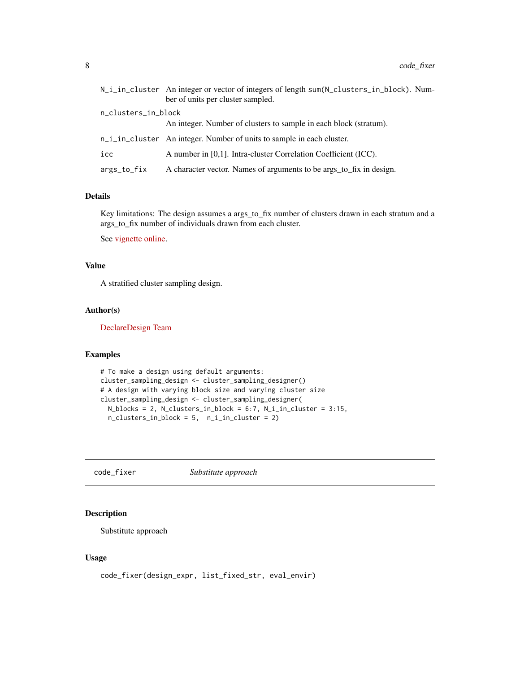<span id="page-7-0"></span>

|                     | N_i_in_cluster An integer or vector of integers of length sum(N_clusters_in_block). Num-<br>ber of units per cluster sampled. |
|---------------------|-------------------------------------------------------------------------------------------------------------------------------|
| n_clusters_in_block |                                                                                                                               |
|                     | An integer. Number of clusters to sample in each block (stratum).                                                             |
|                     | n_i_in_cluster An integer. Number of units to sample in each cluster.                                                         |
| icc                 | A number in [0,1]. Intra-cluster Correlation Coefficient (ICC).                                                               |
| args_to_fix         | A character vector. Names of arguments to be args_to_fix in design.                                                           |

Key limitations: The design assumes a args\_to\_fix number of clusters drawn in each stratum and a args\_to\_fix number of individuals drawn from each cluster.

See [vignette online.](https://declaredesign.org/r/designlibrary/articles/cluster_sampling.html)

# Value

A stratified cluster sampling design.

# Author(s)

[DeclareDesign Team](https://declaredesign.org/)

# Examples

```
# To make a design using default arguments:
cluster_sampling_design <- cluster_sampling_designer()
# A design with varying block size and varying cluster size
cluster_sampling_design <- cluster_sampling_designer(
  N_blocks = 2, N_clusters_in_block = 6:7, N_i_in_cluster = 3:15,
  n_clusters_in_block = 5, n_i_in_cluster = 2)
```
code\_fixer *Substitute approach*

# Description

Substitute approach

#### Usage

code\_fixer(design\_expr, list\_fixed\_str, eval\_envir)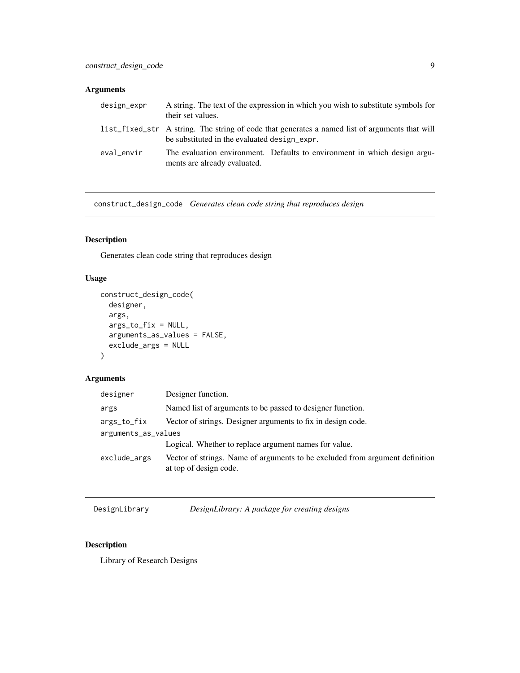# <span id="page-8-0"></span>Arguments

| design_expr | their set values.                            | A string. The text of the expression in which you wish to substitute symbols for               |
|-------------|----------------------------------------------|------------------------------------------------------------------------------------------------|
|             | be substituted in the evaluated design_expr. | list_fixed_str A string. The string of code that generates a named list of arguments that will |
| eval envir  | ments are already evaluated.                 | The evaluation environment. Defaults to environment in which design argu-                      |

construct\_design\_code *Generates clean code string that reproduces design*

# Description

Generates clean code string that reproduces design

# Usage

```
construct_design_code(
  designer,
  args,
  args_to_fix = NULL,
  arguments_as_values = FALSE,
  exclude_args = NULL
\mathcal{L}
```
# Arguments

| designer            | Designer function.                                                                                     |  |
|---------------------|--------------------------------------------------------------------------------------------------------|--|
| args                | Named list of arguments to be passed to designer function.                                             |  |
| args_to_fix         | Vector of strings. Designer arguments to fix in design code.                                           |  |
| arguments_as_values |                                                                                                        |  |
|                     | Logical. Whether to replace argument names for value.                                                  |  |
| exclude_args        | Vector of strings. Name of arguments to be excluded from argument definition<br>at top of design code. |  |

DesignLibrary *DesignLibrary: A package for creating designs*

# Description

Library of Research Designs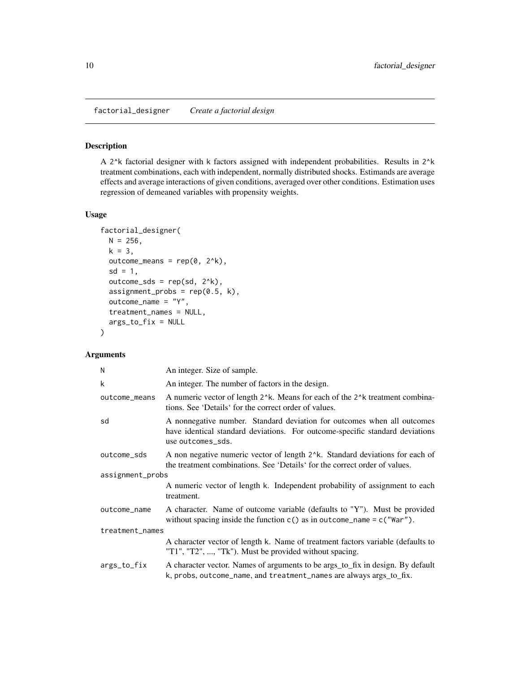<span id="page-9-0"></span>factorial\_designer *Create a factorial design*

# Description

A 2^k factorial designer with k factors assigned with independent probabilities. Results in 2^k treatment combinations, each with independent, normally distributed shocks. Estimands are average effects and average interactions of given conditions, averaged over other conditions. Estimation uses regression of demeaned variables with propensity weights.

# Usage

```
factorial_designer(
 N = 256,
 k = 3,
 outcome_means = rep(0, 2^k),sd = 1,
 outcome_sds = rep(sd, 2^k),assignment\_probs = rep(0.5, k),outcome_name = "Y",
  treatment_names = NULL,
  args_to_fix = NULL
)
```

| N                | An integer. Size of sample.                                                                                                                                                                |  |
|------------------|--------------------------------------------------------------------------------------------------------------------------------------------------------------------------------------------|--|
| k                | An integer. The number of factors in the design.                                                                                                                                           |  |
| outcome_means    | A numeric vector of length 2 <sup>x</sup> k. Means for each of the 2 <sup>x</sup> k treatment combina-<br>tions. See 'Details' for the correct order of values.                            |  |
| sd               | A nonnegative number. Standard deviation for outcomes when all outcomes<br>have identical standard deviations. For outcome-specific standard deviations<br>use outcomes_sds.               |  |
| outcome_sds      | A non negative numeric vector of length 2 <sup><math>\lambda</math></sup> k. Standard deviations for each of<br>the treatment combinations. See 'Details' for the correct order of values. |  |
| assignment_probs |                                                                                                                                                                                            |  |
|                  | A numeric vector of length k. Independent probability of assignment to each<br>treatment.                                                                                                  |  |
| outcome_name     | A character. Name of outcome variable (defaults to "Y"). Must be provided<br>without spacing inside the function $c()$ as in outcome_name = $c("War")$ .                                   |  |
| treatment_names  |                                                                                                                                                                                            |  |
|                  | A character vector of length k. Name of treatment factors variable (defaults to<br>"T1", "T2", , "Tk"). Must be provided without spacing.                                                  |  |
| args_to_fix      | A character vector. Names of arguments to be args_to_fix in design. By default<br>k, probs, outcome_name, and treatment_names are always args_to_fix.                                      |  |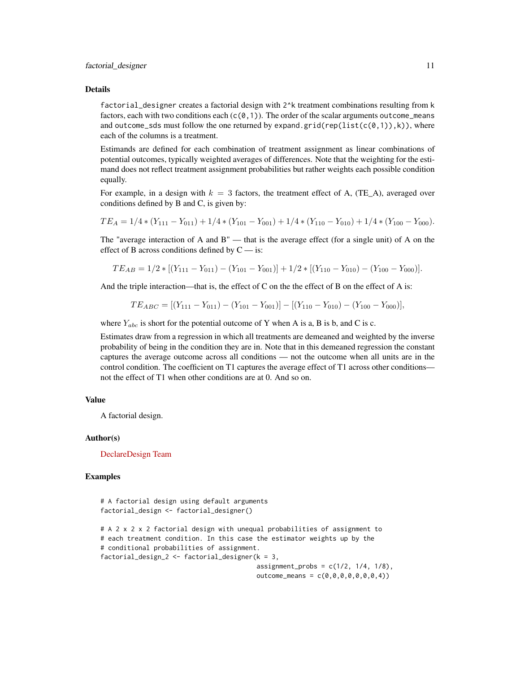factorial\_designer creates a factorial design with 2^k treatment combinations resulting from k factors, each with two conditions each  $(c(0,1))$ . The order of the scalar arguments outcome\_means and outcome\_sds must follow the one returned by expand.grid(rep(list(c(0,1)),k)), where each of the columns is a treatment.

Estimands are defined for each combination of treatment assignment as linear combinations of potential outcomes, typically weighted averages of differences. Note that the weighting for the estimand does not reflect treatment assignment probabilities but rather weights each possible condition equally.

For example, in a design with  $k = 3$  factors, the treatment effect of A, (TE A), averaged over conditions defined by B and C, is given by:

$$
TE_A = 1/4 * (Y_{111} - Y_{011}) + 1/4 * (Y_{101} - Y_{001}) + 1/4 * (Y_{110} - Y_{010}) + 1/4 * (Y_{100} - Y_{000}).
$$

The "average interaction of A and B" — that is the average effect (for a single unit) of A on the effect of B across conditions defined by  $C - i$ s:

$$
TE_{AB} = 1/2 * [(Y_{111} - Y_{011}) - (Y_{101} - Y_{001})] + 1/2 * [(Y_{110} - Y_{010}) - (Y_{100} - Y_{000})].
$$

And the triple interaction—that is, the effect of C on the the effect of B on the effect of A is:

$$
TE_{ABC} = [(Y_{111} - Y_{011}) - (Y_{101} - Y_{001})] - [(Y_{110} - Y_{010}) - (Y_{100} - Y_{000})],
$$

where  $Y_{abc}$  is short for the potential outcome of Y when A is a, B is b, and C is c.

Estimates draw from a regression in which all treatments are demeaned and weighted by the inverse probability of being in the condition they are in. Note that in this demeaned regression the constant captures the average outcome across all conditions — not the outcome when all units are in the control condition. The coefficient on T1 captures the average effect of T1 across other conditions not the effect of T1 when other conditions are at 0. And so on.

#### Value

A factorial design.

#### Author(s)

[DeclareDesign Team](https://declaredesign.org/)

#### Examples

```
# A factorial design using default arguments
factorial_design <- factorial_designer()
# A 2 x 2 x 2 factorial design with unequal probabilities of assignment to
# each treatment condition. In this case the estimator weights up by the
# conditional probabilities of assignment.
factorial_design_2 <- factorial_designer(k = 3,
                                          assignment_probs = c(1/2, 1/4, 1/8),
                                          outcome_{\text{means}} = c(0, 0, 0, 0, 0, 0, 0, 4))
```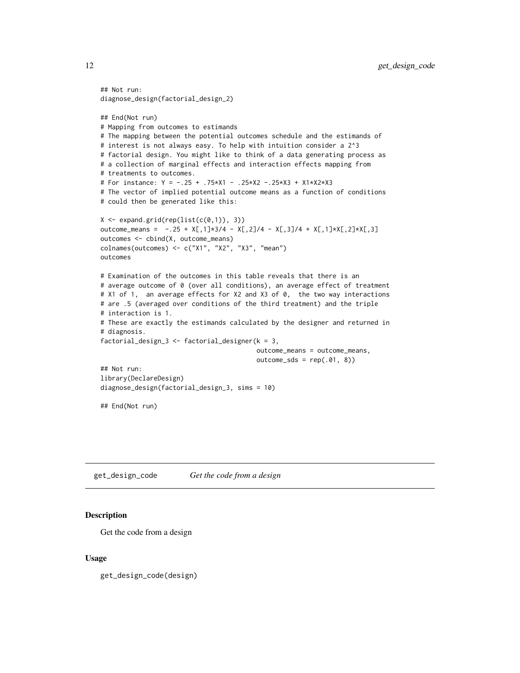```
## Not run:
diagnose_design(factorial_design_2)
## End(Not run)
# Mapping from outcomes to estimands
# The mapping between the potential outcomes schedule and the estimands of
# interest is not always easy. To help with intuition consider a 2^3
# factorial design. You might like to think of a data generating process as
# a collection of marginal effects and interaction effects mapping from
# treatments to outcomes.
# For instance: Y = -.25 + .75*X1 - .25*X2 -.25*X3 + X1*X2*X3
# The vector of implied potential outcome means as a function of conditions
# could then be generated like this:
X \leftarrow expand.grid(rep(list(c(0,1)), 3))
outcome_means = -.25 + X[,1] \times 3/4 - X[,2]/4 - X[,3]/4 + X[,1] \times X[,2] \times X[,3]outcomes <- cbind(X, outcome_means)
colnames(outcomes) <- c("X1", "X2", "X3", "mean")
outcomes
# Examination of the outcomes in this table reveals that there is an
# average outcome of 0 (over all conditions), an average effect of treatment
# X1 of 1, an average effects for X2 and X3 of 0, the two way interactions
# are .5 (averaged over conditions of the third treatment) and the triple
# interaction is 1.
# These are exactly the estimands calculated by the designer and returned in
# diagnosis.
factorial_design_3 <- factorial_designer(k = 3,
                                          outcome_means = outcome_means,
                                          outcome_sds = rep(.01, 8))## Not run:
library(DeclareDesign)
diagnose_design(factorial_design_3, sims = 10)
## End(Not run)
```
get\_design\_code *Get the code from a design*

#### **Description**

Get the code from a design

#### Usage

get\_design\_code(design)

<span id="page-11-0"></span>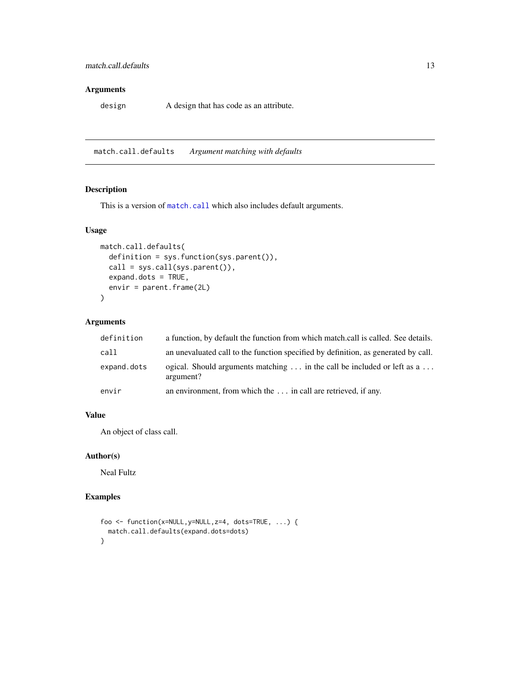# <span id="page-12-0"></span>Arguments

design A design that has code as an attribute.

match.call.defaults *Argument matching with defaults*

# Description

This is a version of [match.call](#page-0-0) which also includes default arguments.

# Usage

```
match.call.defaults(
  definition = sys.function(sys.parent()),
  call = sys.call(sys.parent()),
 expand.dots = TRUE,
  envir = parent.frame(2L)
\mathcal{L}
```
# Arguments

| definition  | a function, by default the function from which match.call is called. See details.                   |
|-------------|-----------------------------------------------------------------------------------------------------|
| call        | an unevaluated call to the function specified by definition, as generated by call.                  |
| expand.dots | ogical. Should arguments matching $\dots$ in the call be included or left as a $\dots$<br>argument? |
| envir       | an environment, from which the  in call are retrieved, if any.                                      |

# Value

An object of class call.

# Author(s)

Neal Fultz

# Examples

```
foo <- function(x=NULL,y=NULL,z=4, dots=TRUE, ...) {
  match.call.defaults(expand.dots=dots)
}
```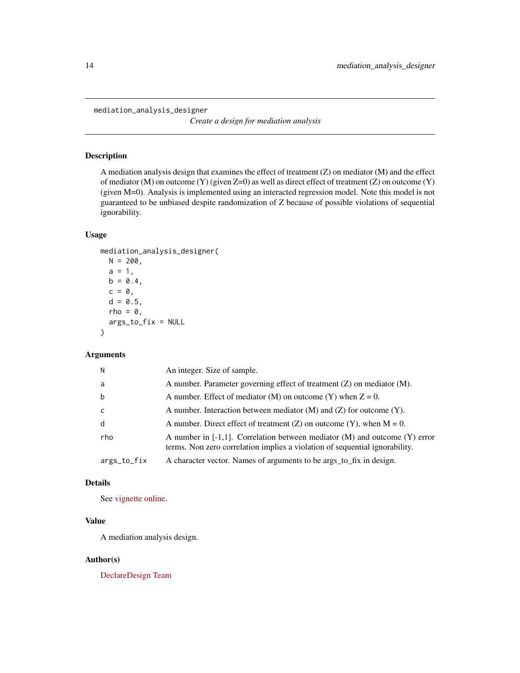<span id="page-13-0"></span>mediation\_analysis\_designer

*Create a design for mediation analysis*

# Description

A mediation analysis design that examines the effect of treatment (Z) on mediator (M) and the effect of mediator (M) on outcome (Y) (given Z=0) as well as direct effect of treatment (Z) on outcome (Y) (given M=0). Analysis is implemented using an interacted regression model. Note this model is not guaranteed to be unbiased despite randomization of Z because of possible violations of sequential ignorability.

#### Usage

```
mediation_analysis_designer(
 N = 200,
 a = 1,b = 0.4,
  c = 0,
  d = 0.5,
  rho = \theta,
  args_to_fix = NULL
)
```
# Arguments

| N            | An integer. Size of sample.                                                                                                                                      |
|--------------|------------------------------------------------------------------------------------------------------------------------------------------------------------------|
| a            | A number. Parameter governing effect of treatment $(Z)$ on mediator $(M)$ .                                                                                      |
| b            | A number. Effect of mediator (M) on outcome (Y) when $Z = 0$ .                                                                                                   |
| $\mathsf{C}$ | A number. Interaction between mediator $(M)$ and $(Z)$ for outcome $(Y)$ .                                                                                       |
| d            | A number. Direct effect of treatment (Z) on outcome (Y), when $M = 0$ .                                                                                          |
| rho          | A number in $[-1,1]$ . Correlation between mediator $(M)$ and outcome $(Y)$ error<br>terms. Non zero correlation implies a violation of sequential ignorability. |
| args_to_fix  | A character vector. Names of arguments to be args_to_fix in design.                                                                                              |

# Details

See [vignette online.](https://declaredesign.org/r/designlibrary/articles/mediation_analysis.html)

# Value

A mediation analysis design.

#### Author(s)

[DeclareDesign Team](https://declaredesign.org/)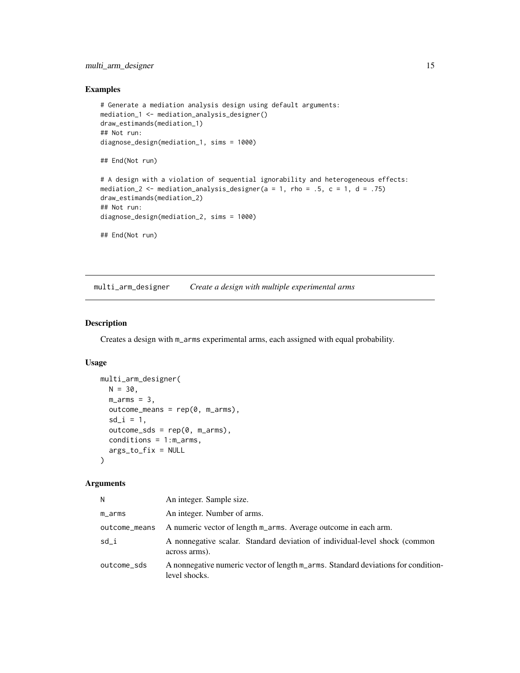# <span id="page-14-0"></span>multi\_arm\_designer 15

# Examples

```
# Generate a mediation analysis design using default arguments:
mediation_1 <- mediation_analysis_designer()
draw_estimands(mediation_1)
## Not run:
diagnose_design(mediation_1, sims = 1000)
## End(Not run)
# A design with a violation of sequential ignorability and heterogeneous effects:
mediation_2 <- mediation_analysis_designer(a = 1, rho = .5, c = 1, d = .75)
draw_estimands(mediation_2)
## Not run:
diagnose_design(mediation_2, sims = 1000)
## End(Not run)
```
<span id="page-14-1"></span>multi\_arm\_designer *Create a design with multiple experimental arms*

# Description

Creates a design with m\_arms experimental arms, each assigned with equal probability.

#### Usage

```
multi_arm_designer(
 N = 30,m_earms = 3,
 outcome_means = rep(0, m_arms),sd_i = 1,
  outcome_sds = rep(0, m_arrms),conditions = 1:m_arms,
  args_to_fix = NULL
\lambda
```

| N             | An integer. Sample size.                                                                           |
|---------------|----------------------------------------------------------------------------------------------------|
| m_arms        | An integer. Number of arms.                                                                        |
| outcome_means | A numeric vector of length m_arms. Average outcome in each arm.                                    |
| sd_i          | A nonnegative scalar. Standard deviation of individual-level shock (common<br>across arms).        |
| outcome_sds   | A nonnegative numeric vector of length m_arms. Standard deviations for condition-<br>level shocks. |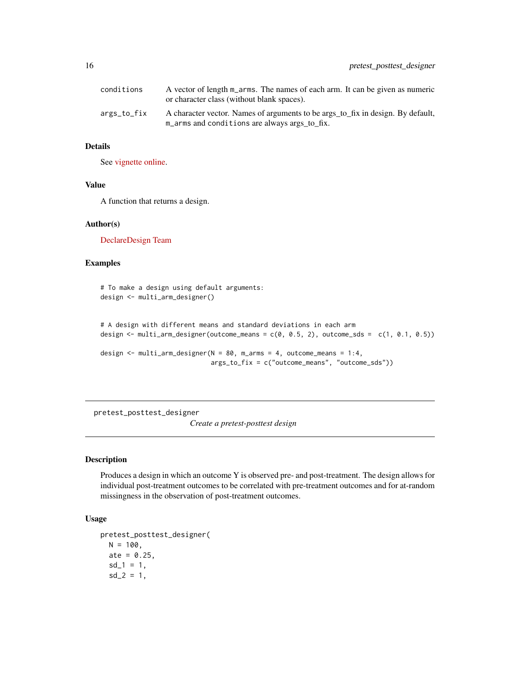<span id="page-15-0"></span>

| conditions  | A vector of length m_arms. The names of each arm. It can be given as numeric<br>or character class (without blank spaces).       |
|-------------|----------------------------------------------------------------------------------------------------------------------------------|
| args_to_fix | A character vector. Names of arguments to be args_to_fix in design. By default,<br>m_arms and conditions are always args to fix. |

See [vignette online.](https://declaredesign.org/r/designlibrary/articles/multi_arm.html)

# Value

A function that returns a design.

#### Author(s)

[DeclareDesign Team](https://declaredesign.org/)

# Examples

```
# To make a design using default arguments:
design <- multi_arm_designer()
```

```
# A design with different means and standard deviations in each arm
design \le multi_arm_designer(outcome_means = c(0, 0.5, 2), outcome_sds = c(1, 0.1, 0.5))
design <- multi_arm_designer(N = 80, m_arms = 4, outcome_means = 1:4,
```

```
args_to_fix = c("outcome_means", "outcome_sds"))
```
pretest\_posttest\_designer

*Create a pretest-posttest design*

# Description

Produces a design in which an outcome Y is observed pre- and post-treatment. The design allows for individual post-treatment outcomes to be correlated with pre-treatment outcomes and for at-random missingness in the observation of post-treatment outcomes.

# Usage

```
pretest_posttest_designer(
 N = 100.
  ate = 0.25,sd_1 = 1,
  sd_2 = 1,
```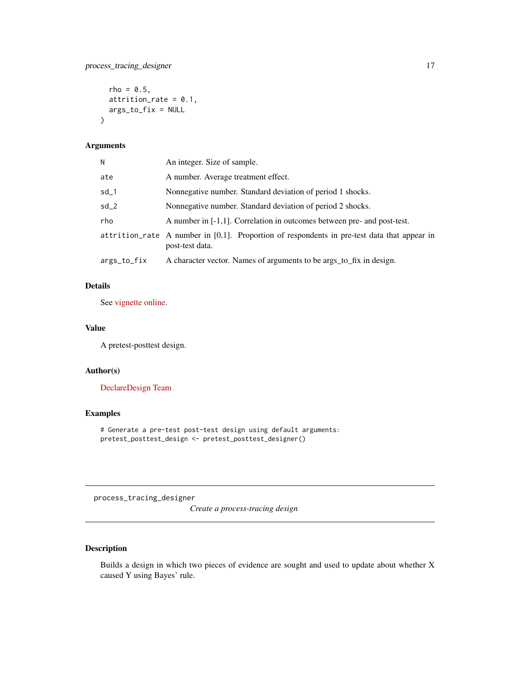```
rho = 0.5,
 attrition_rate = 0.1,
 args_to_fix = NULL
\mathcal{L}
```
#### Arguments

| Ν           | An integer. Size of sample.                                                                                       |
|-------------|-------------------------------------------------------------------------------------------------------------------|
| ate         | A number. Average treatment effect.                                                                               |
| sd_1        | Nonnegative number. Standard deviation of period 1 shocks.                                                        |
| $sd_2$      | Nonnegative number. Standard deviation of period 2 shocks.                                                        |
| rho         | A number in $[-1,1]$ . Correlation in outcomes between pre- and post-test.                                        |
|             | attrition rate A number in $[0,1]$ . Proportion of respondents in pre-test data that appear in<br>post-test data. |
| args_to_fix | A character vector. Names of arguments to be args_to_fix in design.                                               |

# Details

See [vignette online.](https://declaredesign.org/r/designlibrary/articles/pretest_posttest.html)

# Value

A pretest-posttest design.

## Author(s)

[DeclareDesign Team](https://declaredesign.org/)

# Examples

# Generate a pre-test post-test design using default arguments: pretest\_posttest\_design <- pretest\_posttest\_designer()

process\_tracing\_designer

*Create a process-tracing design*

# Description

Builds a design in which two pieces of evidence are sought and used to update about whether X caused Y using Bayes' rule.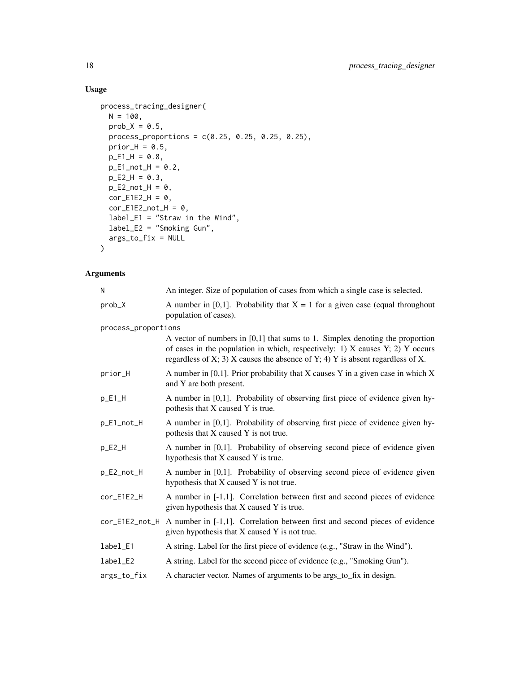# Usage

```
process_tracing_designer(
  N = 100,
  prob_X = 0.5,
  process_proportions = c(0.25, 0.25, 0.25, 0.25),
  prior_H = 0.5,
  pE1H = 0.8,
  p_E1_not_H = 0.2,
  pE2H = 0.3,
  p<sup>E2_not<sup>H = 0</sup>,</sup>
  corE1E2_H = 0,
  corE1E2 notH = 0,
  label_E1 = "Straw in the Wind",
  label_E2 = "Smoking Gun",
  args_to_fix = NULL
\mathcal{L}
```

| N                                            | An integer. Size of population of cases from which a single case is selected.                                                                                                                                                                                |  |
|----------------------------------------------|--------------------------------------------------------------------------------------------------------------------------------------------------------------------------------------------------------------------------------------------------------------|--|
| prob_X                                       | A number in [0,1]. Probability that $X = 1$ for a given case (equal throughout<br>population of cases).                                                                                                                                                      |  |
| process_proportions                          |                                                                                                                                                                                                                                                              |  |
|                                              | A vector of numbers in $[0,1]$ that sums to 1. Simplex denoting the proportion<br>of cases in the population in which, respectively: 1) $X$ causes $Y$ ; 2) $Y$ occurs<br>regardless of X; 3) $X$ causes the absence of Y; 4) $Y$ is absent regardless of X. |  |
| prior_H                                      | A number in $[0,1]$ . Prior probability that X causes Y in a given case in which X<br>and Y are both present.                                                                                                                                                |  |
| $p$ <sup><math>E1</math><math>H</math></sup> | A number in [0,1]. Probability of observing first piece of evidence given hy-<br>pothesis that X caused Y is true.                                                                                                                                           |  |
| p_E1_not_H                                   | A number in [0,1]. Probability of observing first piece of evidence given hy-<br>pothesis that X caused Y is not true.                                                                                                                                       |  |
| $p$ $E2$ $H$                                 | A number in [0,1]. Probability of observing second piece of evidence given<br>hypothesis that X caused Y is true.                                                                                                                                            |  |
| p_E2_not_H                                   | A number in [0,1]. Probability of observing second piece of evidence given<br>hypothesis that X caused Y is not true.                                                                                                                                        |  |
| cor_E1E2_H                                   | A number in [-1,1]. Correlation between first and second pieces of evidence<br>given hypothesis that X caused Y is true.                                                                                                                                     |  |
|                                              | $cor_E1E2_not_H$ A number in [-1,1]. Correlation between first and second pieces of evidence<br>given hypothesis that X caused Y is not true.                                                                                                                |  |
| label_E1                                     | A string. Label for the first piece of evidence (e.g., "Straw in the Wind").                                                                                                                                                                                 |  |
| label_E2                                     | A string. Label for the second piece of evidence (e.g., "Smoking Gun").                                                                                                                                                                                      |  |
| args_to_fix                                  | A character vector. Names of arguments to be args_to_fix in design.                                                                                                                                                                                          |  |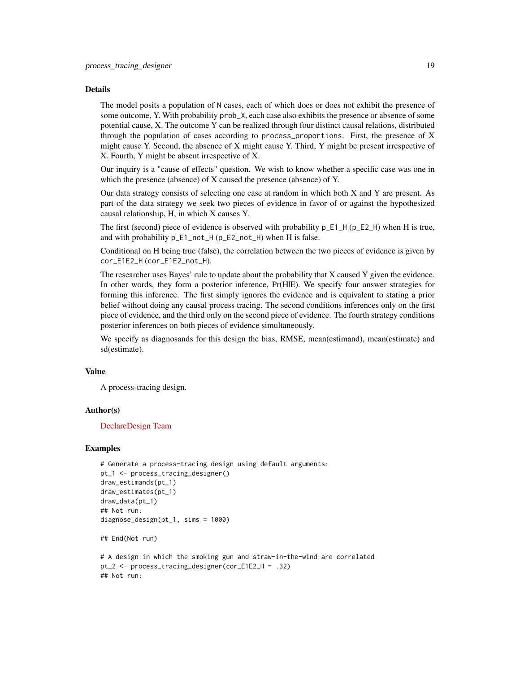The model posits a population of N cases, each of which does or does not exhibit the presence of some outcome, Y. With probability prob\_X, each case also exhibits the presence or absence of some potential cause, X. The outcome Y can be realized through four distinct causal relations, distributed through the population of cases according to process\_proportions. First, the presence of X might cause Y. Second, the absence of X might cause Y. Third, Y might be present irrespective of X. Fourth, Y might be absent irrespective of X.

Our inquiry is a "cause of effects" question. We wish to know whether a specific case was one in which the presence (absence) of X caused the presence (absence) of Y.

Our data strategy consists of selecting one case at random in which both X and Y are present. As part of the data strategy we seek two pieces of evidence in favor of or against the hypothesized causal relationship, H, in which X causes Y.

The first (second) piece of evidence is observed with probability p\_E1\_H (p\_E2\_H) when H is true, and with probability p\_E1\_not\_H (p\_E2\_not\_H) when H is false.

Conditional on H being true (false), the correlation between the two pieces of evidence is given by cor\_E1E2\_H (cor\_E1E2\_not\_H).

The researcher uses Bayes' rule to update about the probability that X caused Y given the evidence. In other words, they form a posterior inference, Pr(HIE). We specify four answer strategies for forming this inference. The first simply ignores the evidence and is equivalent to stating a prior belief without doing any causal process tracing. The second conditions inferences only on the first piece of evidence, and the third only on the second piece of evidence. The fourth strategy conditions posterior inferences on both pieces of evidence simultaneously.

We specify as diagnosands for this design the bias, RMSE, mean(estimand), mean(estimate) and sd(estimate).

#### Value

A process-tracing design.

#### Author(s)

#### [DeclareDesign Team](https://declaredesign.org/)

#### Examples

```
# Generate a process-tracing design using default arguments:
pt_1 <- process_tracing_designer()
draw_estimands(pt_1)
draw_estimates(pt_1)
draw_data(pt_1)
## Not run:
diagnose_design(pt_1, sims = 1000)
```
## End(Not run)

```
# A design in which the smoking gun and straw-in-the-wind are correlated
pt_2 <- process_tracing_designer(cor_E1E2_H = .32)
## Not run:
```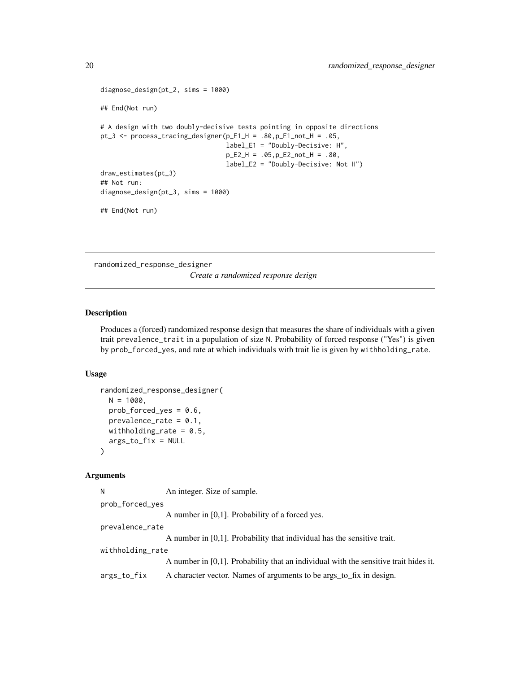```
diagnose_design(pt_2, sims = 1000)
## End(Not run)
# A design with two doubly-decisive tests pointing in opposite directions
pt_3 <- process_tracing_designer(p_E1_H = .80,p_E1_not_H = .05,
                                 label_E1 = "Doubly-Decisive: H",
                                 p_E2_H = .05,p_E2_not_H = .80,
                                 label_E2 = "Doubly-Decisive: Not H")
draw_estimates(pt_3)
## Not run:
diagnose_design(pt_3, sims = 1000)
## End(Not run)
```
randomized\_response\_designer

*Create a randomized response design*

# Description

Produces a (forced) randomized response design that measures the share of individuals with a given trait prevalence\_trait in a population of size N. Probability of forced response ("Yes") is given by prob\_forced\_yes, and rate at which individuals with trait lie is given by withholding\_rate.

#### Usage

```
randomized_response_designer(
 N = 1000.
 prob_forced_yes = 0.6,
 prevalence_rate = 0.1,
 withholding_rate = 0.5,
  args_to_fix = NULL
)
```
#### Arguments

N An integer. Size of sample. prob\_forced\_yes A number in [0,1]. Probability of a forced yes. prevalence\_rate A number in [0,1]. Probability that individual has the sensitive trait. withholding\_rate A number in [0,1]. Probability that an individual with the sensitive trait hides it. args\_to\_fix A character vector. Names of arguments to be args\_to\_fix in design.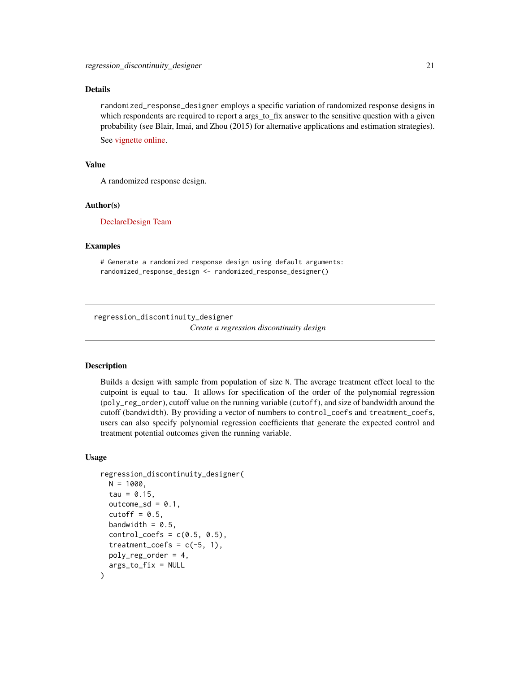<span id="page-20-0"></span>randomized\_response\_designer employs a specific variation of randomized response designs in which respondents are required to report a args\_to\_fix answer to the sensitive question with a given probability (see Blair, Imai, and Zhou (2015) for alternative applications and estimation strategies).

See [vignette online.](https://declaredesign.org/r/designlibrary/articles/randomized_response.html)

# Value

A randomized response design.

#### Author(s)

[DeclareDesign Team](https://declaredesign.org/)

#### Examples

# Generate a randomized response design using default arguments: randomized\_response\_design <- randomized\_response\_designer()

regression\_discontinuity\_designer

*Create a regression discontinuity design*

#### **Description**

Builds a design with sample from population of size N. The average treatment effect local to the cutpoint is equal to tau. It allows for specification of the order of the polynomial regression (poly\_reg\_order), cutoff value on the running variable (cutoff), and size of bandwidth around the cutoff (bandwidth). By providing a vector of numbers to control\_coefs and treatment\_coefs, users can also specify polynomial regression coefficients that generate the expected control and treatment potential outcomes given the running variable.

#### Usage

```
regression_discontinuity_designer(
 N = 1000,
  tau = 0.15,
  outcome_sd = 0.1,
  cutoff = 0.5,
  bandwidth = 0.5,
  control\_coeffs = c(0.5, 0.5),
  treatment_coefs = c(-5, 1),
 poly_reg_order = 4,
  args_to_fix = NULL
)
```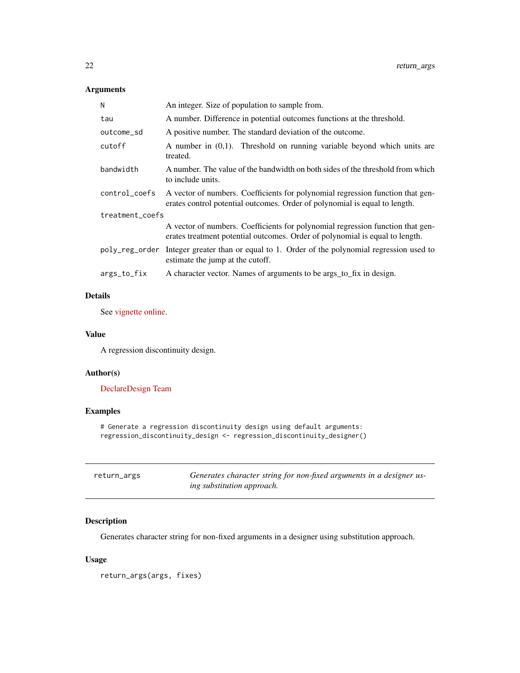# <span id="page-21-0"></span>Arguments

| Ν               | An integer. Size of population to sample from.                                                                                                                 |  |
|-----------------|----------------------------------------------------------------------------------------------------------------------------------------------------------------|--|
| tau             | A number. Difference in potential outcomes functions at the threshold.                                                                                         |  |
| outcome_sd      | A positive number. The standard deviation of the outcome.                                                                                                      |  |
| cutoff          | A number in $(0,1)$ . Threshold on running variable beyond which units are<br>treated.                                                                         |  |
| bandwidth       | A number. The value of the bandwidth on both sides of the threshold from which<br>to include units.                                                            |  |
| control_coefs   | A vector of numbers. Coefficients for polynomial regression function that gen-<br>erates control potential outcomes. Order of polynomial is equal to length.   |  |
| treatment_coefs |                                                                                                                                                                |  |
|                 | A vector of numbers. Coefficients for polynomial regression function that gen-<br>erates treatment potential outcomes. Order of polynomial is equal to length. |  |
|                 | poly_reg_order Integer greater than or equal to 1. Order of the polynomial regression used to<br>estimate the jump at the cutoff.                              |  |
| args_to_fix     | A character vector. Names of arguments to be args_to_fix in design.                                                                                            |  |
|                 |                                                                                                                                                                |  |

# Details

See [vignette online.](https://declaredesign.org/r/designlibrary/articles/regression_discontinuity.html)

#### Value

A regression discontinuity design.

# Author(s)

[DeclareDesign Team](https://declaredesign.org/)

# Examples

# Generate a regression discontinuity design using default arguments: regression\_discontinuity\_design <- regression\_discontinuity\_designer()

| return_args | Generates character string for non-fixed arguments in a designer us- |
|-------------|----------------------------------------------------------------------|
|             | <i>ing substitution approach.</i>                                    |

# Description

Generates character string for non-fixed arguments in a designer using substitution approach.

# Usage

return\_args(args, fixes)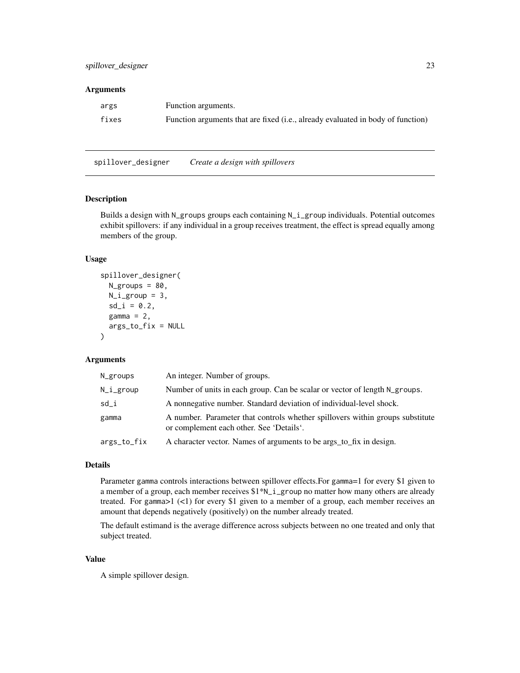#### <span id="page-22-0"></span>**Arguments**

| args  | Function arguments.                                                             |
|-------|---------------------------------------------------------------------------------|
| fixes | Function arguments that are fixed (i.e., already evaluated in body of function) |

spillover\_designer *Create a design with spillovers*

#### Description

Builds a design with N\_groups groups each containing N\_i\_group individuals. Potential outcomes exhibit spillovers: if any individual in a group receives treatment, the effect is spread equally among members of the group.

# Usage

```
spillover_designer(
 N_groups = 80,
 N_igroup = 3,
 sd_i = 0.2,
 gamma = 2,
 args_to_fix = NULL
)
```
# Arguments

| N_groups    | An integer. Number of groups.                                                                                             |
|-------------|---------------------------------------------------------------------------------------------------------------------------|
| N_i_group   | Number of units in each group. Can be scalar or vector of length N_groups.                                                |
| sd i        | A nonnegative number. Standard deviation of individual-level shock.                                                       |
| gamma       | A number. Parameter that controls whether spillovers within groups substitute<br>or complement each other. See 'Details'. |
| args_to_fix | A character vector. Names of arguments to be args_to_fix in design.                                                       |

# Details

Parameter gamma controls interactions between spillover effects.For gamma=1 for every \$1 given to a member of a group, each member receives \$1\*N\_i\_group no matter how many others are already treated. For gamma $>1$  (<1) for every \$1 given to a member of a group, each member receives an amount that depends negatively (positively) on the number already treated.

The default estimand is the average difference across subjects between no one treated and only that subject treated.

# Value

A simple spillover design.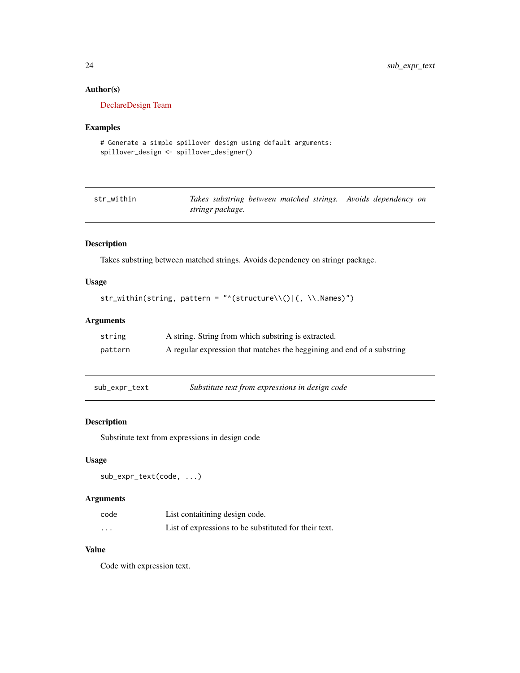# Author(s)

[DeclareDesign Team](https://declaredesign.org/)

# Examples

```
# Generate a simple spillover design using default arguments:
spillover_design <- spillover_designer()
```

| str within |                  | Takes substring between matched strings. Avoids dependency on |
|------------|------------------|---------------------------------------------------------------|
|            | stringr package. |                                                               |

# Description

Takes substring between matched strings. Avoids dependency on stringr package.

# Usage

```
str_within(string, pattern = "^(structure\\()|(, \\.Names)")
```
# Arguments

| string  | A string. String from which substring is extracted.                    |
|---------|------------------------------------------------------------------------|
| pattern | A regular expression that matches the beggining and end of a substring |

sub\_expr\_text *Substitute text from expressions in design code*

### Description

Substitute text from expressions in design code

#### Usage

```
sub_expr_text(code, ...)
```
# Arguments

| code     | List contaitining design code.                        |
|----------|-------------------------------------------------------|
| $\cdots$ | List of expressions to be substituted for their text. |

# Value

Code with expression text.

<span id="page-23-0"></span>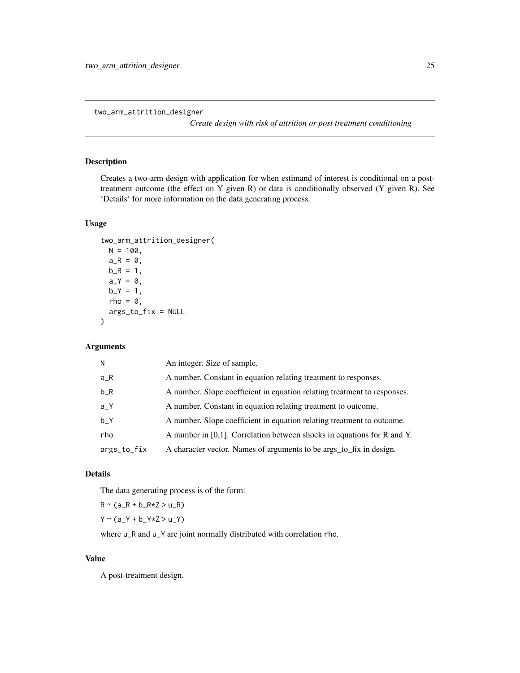<span id="page-24-0"></span>two\_arm\_attrition\_designer

*Create design with risk of attrition or post treatment conditioning*

# Description

Creates a two-arm design with application for when estimand of interest is conditional on a posttreatment outcome (the effect on Y given R) or data is conditionally observed (Y given R). See 'Details' for more information on the data generating process.

# Usage

```
two_arm_attrition_designer(
 N = 100,
  a_R = 0,
 b_R = 1,
  a_Y = 0,
 b_Y = 1,
 rho = \theta,
 args_to_fix = NULL
\mathcal{L}
```
# Arguments

| N           | An integer. Size of sample.                                                |
|-------------|----------------------------------------------------------------------------|
| a_R         | A number. Constant in equation relating treatment to responses.            |
| $b_R$       | A number. Slope coefficient in equation relating treatment to responses.   |
| $a-Y$       | A number. Constant in equation relating treatment to outcome.              |
| b Y         | A number. Slope coefficient in equation relating treatment to outcome.     |
| rho         | A number in $[0,1]$ . Correlation between shocks in equations for R and Y. |
| args_to_fix | A character vector. Names of arguments to be args_to_fix in design.        |

# Details

The data generating process is of the form:

 $R \sim (a_R + b_R * Z > u_R)$ 

 $Y \sim (a_{Y} + b_{Y} \times Z > u_{Y})$ 

where  $u_R$  and  $u_Y$  are joint normally distributed with correlation rho.

#### Value

A post-treatment design.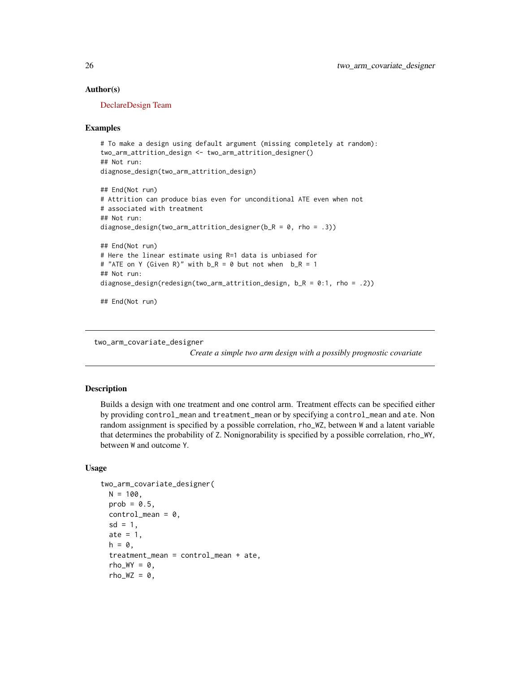#### Author(s)

[DeclareDesign Team](https://declaredesign.org/)

#### Examples

```
# To make a design using default argument (missing completely at random):
two_arm_attrition_design <- two_arm_attrition_designer()
## Not run:
diagnose_design(two_arm_attrition_design)
## End(Not run)
# Attrition can produce bias even for unconditional ATE even when not
# associated with treatment
## Not run:
diagnose_design(two_arm_attrition_designer(b_R = 0, rho = .3))
## End(Not run)
# Here the linear estimate using R=1 data is unbiased for
# "ATE on Y (Given R)" with b_R = 0 but not when b_R = 1## Not run:
diagnose_design(redesign(two_arm_attrition_design, b_R = 0:1, rho = .2))
## End(Not run)
```
two\_arm\_covariate\_designer

*Create a simple two arm design with a possibly prognostic covariate*

# **Description**

Builds a design with one treatment and one control arm. Treatment effects can be specified either by providing control\_mean and treatment\_mean or by specifying a control\_mean and ate. Non random assignment is specified by a possible correlation, rho\_WZ, between W and a latent variable that determines the probability of Z. Nonignorability is specified by a possible correlation, rho\_WY, between W and outcome Y.

#### Usage

```
two_arm_covariate_designer(
 N = 100,
 prob = 0.5,
 control_mean = 0,
  sd = 1.
 ate = 1,
 h = \emptyset,
  treatment_mean = control_mean + ate,
  rho_WY = 0,
  rho_WZ = 0,
```
<span id="page-25-0"></span>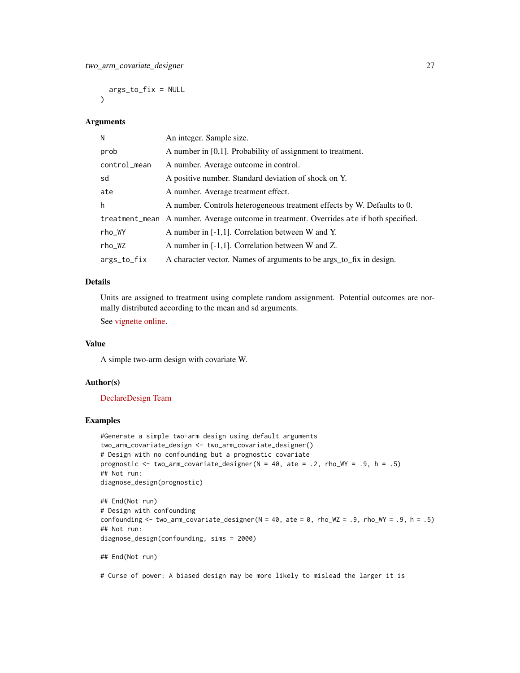args\_to\_fix = NULL  $\lambda$ 

#### Arguments

| N            | An integer. Sample size.                                                                |
|--------------|-----------------------------------------------------------------------------------------|
| prob         | A number in $[0,1]$ . Probability of assignment to treatment.                           |
| control_mean | A number. Average outcome in control.                                                   |
| sd           | A positive number. Standard deviation of shock on Y.                                    |
| ate          | A number. Average treatment effect.                                                     |
| h            | A number. Controls heterogeneous treatment effects by W. Defaults to 0.                 |
|              | treatment_mean A number. Average outcome in treatment. Overrides ate if both specified. |
| rho_WY       | A number in $[-1,1]$ . Correlation between W and Y.                                     |
| rho_WZ       | A number in [-1,1]. Correlation between W and Z.                                        |
| args_to_fix  | A character vector. Names of arguments to be args_to_fix in design.                     |

# Details

Units are assigned to treatment using complete random assignment. Potential outcomes are normally distributed according to the mean and sd arguments.

See [vignette online.](https://declaredesign.org/r/designlibrary/articles/two_arm.html)

#### Value

A simple two-arm design with covariate W.

#### Author(s)

[DeclareDesign Team](https://declaredesign.org/)

# Examples

```
#Generate a simple two-arm design using default arguments
two_arm_covariate_design <- two_arm_covariate_designer()
# Design with no confounding but a prognostic covariate
prognostic <- two_arm_covariate_designer(N = 40, ate = .2, rho_WY = .9, h = .5)
## Not run:
diagnose_design(prognostic)
```

```
## End(Not run)
# Design with confounding
confounding \le two_arm_covariate_designer(N = 40, ate = 0, rho_WZ = .9, rho_WY = .9, h = .5)
## Not run:
diagnose_design(confounding, sims = 2000)
```

```
## End(Not run)
```
# Curse of power: A biased design may be more likely to mislead the larger it is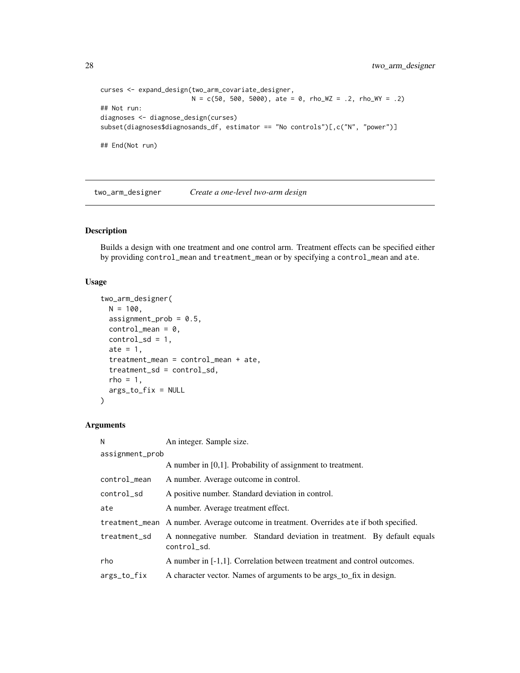```
curses <- expand_design(two_arm_covariate_designer,
                       N = c(50, 500, 5000), ate = 0, rho_WZ = .2, rho_WY = .2)
## Not run:
diagnoses <- diagnose_design(curses)
subset(diagnoses$diagnosands_df, estimator == "No controls")[,c("N", "power")]
## End(Not run)
```
two\_arm\_designer *Create a one-level two-arm design*

# Description

Builds a design with one treatment and one control arm. Treatment effects can be specified either by providing control\_mean and treatment\_mean or by specifying a control\_mean and ate.

#### Usage

```
two_arm_designer(
 N = 100,
 assignment_prob = 0.5,
 control_mean = 0,control_s d = 1,
 ate = 1,
  treatment_mean = control_mean + ate,
  treatment_sd = control_sd,
 rho = 1,
 args_to_fix = NULL
)
```

| N               | An integer. Sample size.                                                                |  |
|-----------------|-----------------------------------------------------------------------------------------|--|
| assignment_prob |                                                                                         |  |
|                 | A number in $[0,1]$ . Probability of assignment to treatment.                           |  |
| control_mean    | A number. Average outcome in control.                                                   |  |
| control_sd      | A positive number. Standard deviation in control.                                       |  |
| ate             | A number. Average treatment effect.                                                     |  |
|                 | treatment_mean A number. Average outcome in treatment. Overrides ate if both specified. |  |
| treatment_sd    | A nonnegative number. Standard deviation in treatment. By default equals<br>control_sd. |  |
| rho             | A number in [-1,1]. Correlation between treatment and control outcomes.                 |  |
| args_to_fix     | A character vector. Names of arguments to be args_to_fix in design.                     |  |

<span id="page-27-0"></span>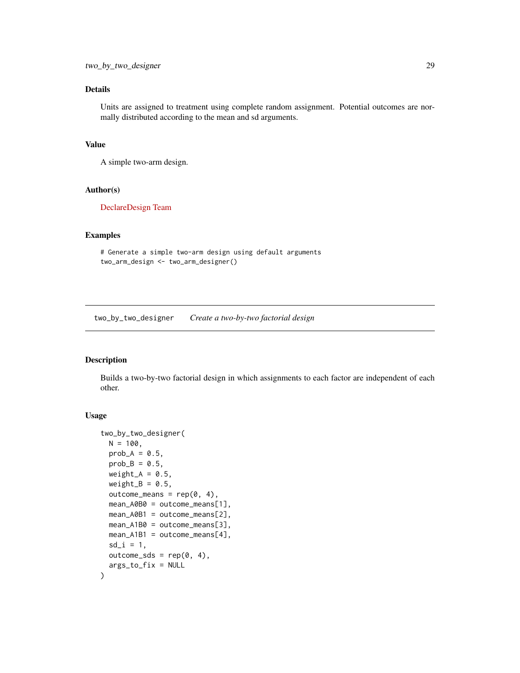<span id="page-28-0"></span>Units are assigned to treatment using complete random assignment. Potential outcomes are normally distributed according to the mean and sd arguments.

# Value

A simple two-arm design.

#### Author(s)

[DeclareDesign Team](https://declaredesign.org/)

#### Examples

```
# Generate a simple two-arm design using default arguments
two_arm_design <- two_arm_designer()
```
two\_by\_two\_designer *Create a two-by-two factorial design*

# Description

Builds a two-by-two factorial design in which assignments to each factor are independent of each other.

#### Usage

```
two_by_two_designer(
 N = 100,
 prob_A = 0.5,
 prob_B = 0.5,
 weight_A = 0.5,
 weight_B = 0.5,
 outcome_means = rep(0, 4),mean_A0B0 = outcome_means[1],
 mean_A0B1 = outcome_means[2],
 mean_A1B0 = outcome_means[3],mean_A1B1 = outcome_means[4],sd_i = 1,
 outcome_sds = rep(0, 4),args_to_fix = NULL
)
```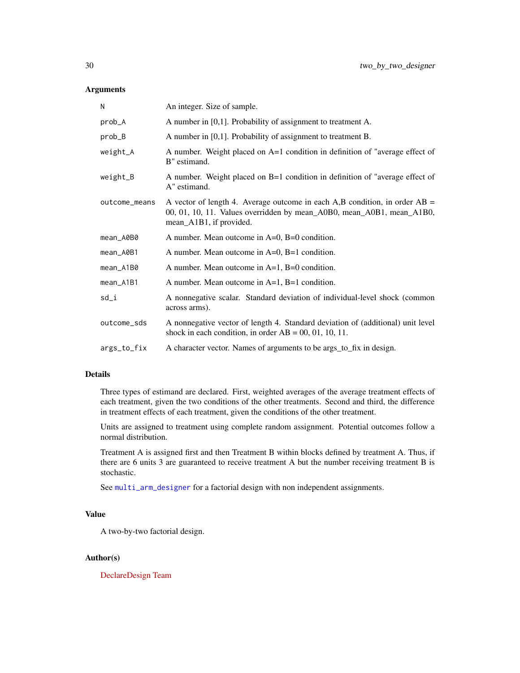# <span id="page-29-0"></span>Arguments

| N             | An integer. Size of sample.                                                                                                                                                      |
|---------------|----------------------------------------------------------------------------------------------------------------------------------------------------------------------------------|
| prob_A        | A number in [0,1]. Probability of assignment to treatment A.                                                                                                                     |
| prob_B        | A number in $[0,1]$ . Probability of assignment to treatment B.                                                                                                                  |
| weight_A      | A number. Weight placed on A=1 condition in definition of "average effect of<br>B" estimand.                                                                                     |
| weight_B      | A number. Weight placed on B=1 condition in definition of "average effect of<br>A" estimand.                                                                                     |
| outcome_means | A vector of length 4. Average outcome in each A,B condition, in order $AB =$<br>00, 01, 10, 11. Values overridden by mean_A0B0, mean_A0B1, mean_A1B0,<br>mean_A1B1, if provided. |
| mean_A0B0     | A number. Mean outcome in $A=0$ , $B=0$ condition.                                                                                                                               |
| mean_A0B1     | A number. Mean outcome in $A=0$ , $B=1$ condition.                                                                                                                               |
| mean_A1B0     | A number. Mean outcome in $A=1$ , $B=0$ condition.                                                                                                                               |
| mean_A1B1     | A number. Mean outcome in $A=1$ , $B=1$ condition.                                                                                                                               |
| sd_i          | A nonnegative scalar. Standard deviation of individual-level shock (common<br>across arms).                                                                                      |
| outcome_sds   | A nonnegative vector of length 4. Standard deviation of (additional) unit level<br>shock in each condition, in order $AB = 00, 01, 10, 11$ .                                     |
| args_to_fix   | A character vector. Names of arguments to be args_to_fix in design.                                                                                                              |

# Details

Three types of estimand are declared. First, weighted averages of the average treatment effects of each treatment, given the two conditions of the other treatments. Second and third, the difference in treatment effects of each treatment, given the conditions of the other treatment.

Units are assigned to treatment using complete random assignment. Potential outcomes follow a normal distribution.

Treatment A is assigned first and then Treatment B within blocks defined by treatment A. Thus, if there are 6 units 3 are guaranteed to receive treatment A but the number receiving treatment B is stochastic.

See [multi\\_arm\\_designer](#page-14-1) for a factorial design with non independent assignments.

# Value

A two-by-two factorial design.

#### Author(s)

[DeclareDesign Team](https://declaredesign.org/)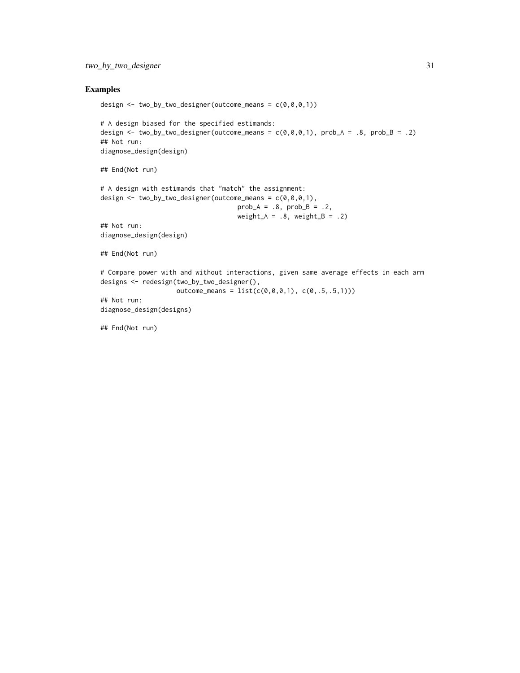# two\_by\_two\_designer 31

# Examples

```
design \le two_by_two_designer(outcome_means = c(\theta, \theta, \theta, 1))
# A design biased for the specified estimands:
design \le two_by_two_designer(outcome_means = c(\emptyset, \emptyset, \emptyset, 1), prob_A = .8, prob_B = .2)
## Not run:
diagnose_design(design)
## End(Not run)
# A design with estimands that "match" the assignment:
design \leq two_by_two_designer(outcome_means = c(\theta, \theta, \theta, 1),
                                       prob_A = .8, prob_B = .2,
                                        weight_A = .8, weight_B = .2)
## Not run:
diagnose_design(design)
## End(Not run)
# Compare power with and without interactions, given same average effects in each arm
designs <- redesign(two_by_two_designer(),
                      outcome_means = list(c(0, 0, 0, 1), c(0, .5, .5, 1)))## Not run:
diagnose_design(designs)
```
## End(Not run)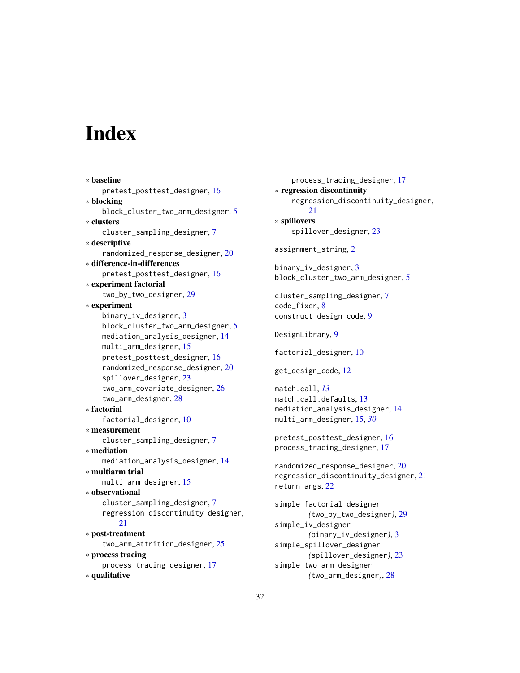# <span id="page-31-0"></span>**Index**

∗ baseline pretest\_posttest\_designer, [16](#page-15-0) ∗ blocking block\_cluster\_two\_arm\_designer, [5](#page-4-0) ∗ clusters cluster\_sampling\_designer, [7](#page-6-0) ∗ descriptive randomized\_response\_designer, [20](#page-19-0) ∗ difference-in-differences pretest\_posttest\_designer, [16](#page-15-0) ∗ experiment factorial two\_by\_two\_designer, [29](#page-28-0) ∗ experiment binary\_iv\_designer, [3](#page-2-0) block\_cluster\_two\_arm\_designer, [5](#page-4-0) mediation\_analysis\_designer, [14](#page-13-0) multi\_arm\_designer, [15](#page-14-0) pretest\_posttest\_designer, [16](#page-15-0) randomized\_response\_designer, [20](#page-19-0) spillover\_designer, [23](#page-22-0) two\_arm\_covariate\_designer, [26](#page-25-0) two\_arm\_designer, [28](#page-27-0) ∗ factorial factorial\_designer, [10](#page-9-0) ∗ measurement cluster\_sampling\_designer, [7](#page-6-0) ∗ mediation mediation\_analysis\_designer, [14](#page-13-0) ∗ multiarm trial multi\_arm\_designer, [15](#page-14-0) ∗ observational cluster\_sampling\_designer, [7](#page-6-0) regression\_discontinuity\_designer, [21](#page-20-0) ∗ post-treatment two\_arm\_attrition\_designer, [25](#page-24-0) ∗ process tracing process\_tracing\_designer, [17](#page-16-0) ∗ qualitative

process\_tracing\_designer, [17](#page-16-0) ∗ regression discontinuity regression\_discontinuity\_designer, [21](#page-20-0) ∗ spillovers spillover\_designer, [23](#page-22-0) assignment\_string, [2](#page-1-0) binary\_iv\_designer, [3](#page-2-0) block\_cluster\_two\_arm\_designer, [5](#page-4-0) cluster\_sampling\_designer, [7](#page-6-0) code\_fixer, [8](#page-7-0) construct\_design\_code, [9](#page-8-0) DesignLibrary, [9](#page-8-0) factorial\_designer, [10](#page-9-0) get\_design\_code, [12](#page-11-0) match.call, *[13](#page-12-0)* match.call.defaults, [13](#page-12-0) mediation\_analysis\_designer, [14](#page-13-0) multi\_arm\_designer, [15,](#page-14-0) *[30](#page-29-0)* pretest\_posttest\_designer, [16](#page-15-0) process\_tracing\_designer, [17](#page-16-0) randomized\_response\_designer, [20](#page-19-0) regression\_discontinuity\_designer, [21](#page-20-0) return\_args, [22](#page-21-0) simple\_factorial\_designer *(*two\_by\_two\_designer*)*, [29](#page-28-0) simple\_iv\_designer *(*binary\_iv\_designer*)*, [3](#page-2-0) simple\_spillover\_designer *(*spillover\_designer*)*, [23](#page-22-0) simple\_two\_arm\_designer

*(*two\_arm\_designer*)*, [28](#page-27-0)